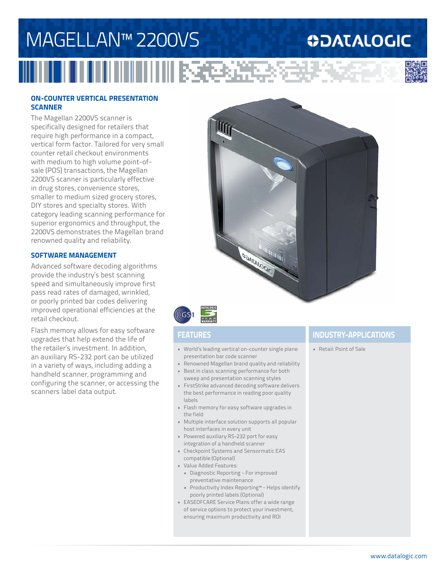# MAGELLAN™ 2200VS

## **ODATALOGIC**



### **ON-COUNTER VERTICAL PRESENTATION SCANNER**

The Magellan 2200VS scanner is specifically designed for retailers that require high performance in a compact, vertical form factor. Tailored for very small counter retail checkout environments with medium to high volume point-ofsale (POS) transactions, the Magellan 2200VS scanner is particularly effective in drug stores, convenience stores, smaller to medium sized grocery stores, DIY stores and specialty stores. With category leading scanning performance for superior ergonomics and throughput, the 2200VS demonstrates the Magellan brand renowned quality and reliability.

### **SOFTWARE MANAGEMENT**

Advanced software decoding algorithms provide the industry's best scanning speed and simultaneously improve first pass read rates of damaged, wrinkled, or poorly printed bar codes delivering improved operational efficiencies at the retail checkout.

Flash memory allows for easy software upgrades that help extend the life of the retailer's investment. In addition, an auxiliary RS-232 port can be utilized in a variety of ways, including adding a handheld scanner, programming and configuring the scanner, or accessing the scanners label data output.





- World's leading vertical on-counter single plane presentation bar code scanner
- Renowned Magellan brand quality and reliability
- Best in class scanning performance for both sweep and presentation scanning styles
- FirstStrike advanced decoding software delivers the best performance in reading poor quality labels
- Flash memory for easy software upgrades in the field
- Multiple interface solution supports all popular host interfaces in every unit
- Powered auxiliary RS-232 port for easy integration of a handheld scanner
- Checkpoint Systems and Sensormatic EAS compatible (Optional)
- Value Added Features:
- Diagnostic Reporting For improved preventative maintenance
- Productivity Index Reporting™ Helps identify poorly printed labels (Optional)
- EASEOFCARE Service Plans offer a wide range of service options to protect your investment, ensuring maximum productivity and ROI

### **FEATURES INDUSTRY-APPLICATIONS**

• Retail: Point of Sale